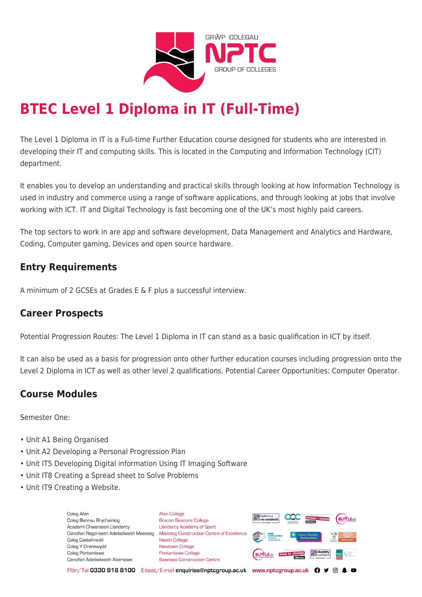

# **BTEC Level 1 Diploma in IT (Full-Time)**

The Level 1 Diploma in IT is a Full-time Further Education course designed for students who are interested in developing their IT and computing skills. This is located in the Computing and Information Technology (CIT) department.

It enables you to develop an understanding and practical skills through looking at how Information Technology is used in industry and commerce using a range of software applications, and through looking at jobs that involve working with ICT. IT and Digital Technology is fast becoming one of the UK's most highly paid careers.

The top sectors to work in are app and software development, Data Management and Analytics and Hardware, Coding, Computer gaming, Devices and open source hardware.

## **Entry Requirements**

A minimum of 2 GCSEs at Grades E & F plus a successful interview.

## **Career Prospects**

Potential Progression Routes: The Level 1 Diploma in IT can stand as a basic qualification in ICT by itself.

It can also be used as a basis for progression onto other further education courses including progression onto the Level 2 Diploma in ICT as well as other level 2 qualifications. Potential Career Opportunities: Computer Operator.

# **Course Modules**

Semester One:

- Unit A1 Being Organised
- Unit A2 Developing a Personal Progression Plan
- Unit IT5 Developing Digital information Using IT Imaging Software
- Unit IT8 Creating a Spread sheet to Solve Problems
- Unit IT9 Creating a Website.

Coleg Afar Coleg Bannau Brycheiniog Academi Chwaraeon Llandarcy Canolfan Ragoriaeth Adeiladwaith Maesteg Coleg Castell-nedd Coleg Y Drenewydd Coleg Pontardawe Canolfan Adeiladwaith Abertawe

**Afan College** Brecon Beacons College **Llandarcy Academy of Sport** Maesteg Construction Centre of Excellence Neath College Newtown College Pontardawe College Swansea Construction Centre



Ffôn/Tel 0330 818 8100 E-bost/E-mail enquiries@nptcgroup.ac.uk www.nptcgroup.ac.uk ? • © \$